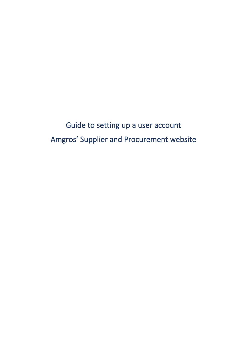Guide to setting up a user account Amgros' Supplier and Procurement website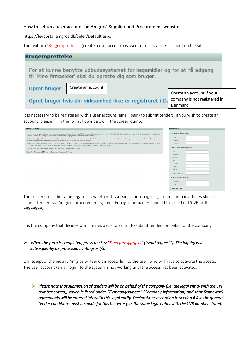## How to set up a user account on Amgros' Supplier and Procurement website

https://levportal.amgros.dk/Sider/Default.aspx

The text box 'Brugeroprettelse' (create a user account) is used to set-up a user account on the site.

| <b>Brugeroprettelse</b>                                                                                                         |                   |  |                           |  |
|---------------------------------------------------------------------------------------------------------------------------------|-------------------|--|---------------------------|--|
| For at kunne benytte udbudssystemet for lægemidler og for at få adgang<br>til 'Mine firmasider' skal du oprette dig som bruger. |                   |  |                           |  |
| Opret bruger                                                                                                                    | Create an account |  |                           |  |
|                                                                                                                                 |                   |  | Create an account if your |  |
| company is not registered in<br>Opret bruger hvis din virksomhed ikke er registreret i Da                                       |                   |  |                           |  |
|                                                                                                                                 | Denmark           |  |                           |  |

It is necessary to be registered with a user account (email login) to submit tenders. If you wish to create an account, please fill in the form shown below in the screen dump.

| For at kunne benytte udbudssystemet skal du oprette dig som bruger. Udfyld blanketten til højre og tryk "send". Vi vil behandle din anmodning, og du vil få tilsendt et link, så du kan gøre<br>din brugeroprettelse færdig. Vi anbefaler, at du opretter dig i god tid før tilbudsfristens udløb.                         | Personoplysninger   |
|----------------------------------------------------------------------------------------------------------------------------------------------------------------------------------------------------------------------------------------------------------------------------------------------------------------------------|---------------------|
| Du kan alene afgive tilbud på vegne af et firma, hvis felterne med firmaoplysninger er udfyldt. Amgros kan bede om dokumentation for, at brugeren repræsenterer firmaet. I de fleste<br>tilfælde er det tilstrækkelig dokumentation, at brugeren har en e-mailadresse hos firmaet.                                         | Titel:<br>Fornavn:  |
| Hvis du ikke anfører firmaoplysninger i disse to felter, betyder det, at du som bruger hæfter personligt for afgivne tilbud. Det er således dit personlige ansvar at opfylde kontrakten, hvis<br>du bliver vinder af udbuddet. Amgros anbefaler derfor, at ingen opretter sig som brugere uden at angive firmatilknytning. | Efternavn:          |
| Amgros behandler personoplysninger, som beskrevet i menupunktet Udbud.                                                                                                                                                                                                                                                     | Kontakt oplysninger |
| Hvis din virksomhed ikke er registreret i Danmark tryk her                                                                                                                                                                                                                                                                 | Adresse:            |
|                                                                                                                                                                                                                                                                                                                            | Adresse 2:          |
|                                                                                                                                                                                                                                                                                                                            | Postnr:             |
|                                                                                                                                                                                                                                                                                                                            | By:                 |
|                                                                                                                                                                                                                                                                                                                            | Telefon:            |
|                                                                                                                                                                                                                                                                                                                            | Fax:                |
|                                                                                                                                                                                                                                                                                                                            | E-mail:             |
|                                                                                                                                                                                                                                                                                                                            | Direkte telefon:    |
|                                                                                                                                                                                                                                                                                                                            | Firma oplysninger   |
|                                                                                                                                                                                                                                                                                                                            | Firmanavn:          |
|                                                                                                                                                                                                                                                                                                                            | CVR:                |
|                                                                                                                                                                                                                                                                                                                            | Send foresporgsel   |

The procedure is the same regardless whether it is a Danish or foreign registered company that wishes to submit tenders via Amgros' procurement system. Foreign companies should fill in the field 'CVR' with 99999999.

It is the company that decides who creates a user account to submit tenders on behalf of the company.

## ➢ *When the form is completed, press the key "Send forespørgsel" ("send request"). The inquiry will subsequently be processed by Amgros I/S.*

On receipt of the inquiry Amgros will send an access link to the user, who will have to activate the access. The user account (email login) to the system is not working until the access has been activated.

*Please note that submission of tenders will be on behalf of the company (i.e. the legal entity with the CVR number stated), which is listed under "Firmaoplysninger" (Company information) and that framework agreements will be entered into with this legal entity. Declarations according to section 4.4 in the general tender conditions must be made for this tenderer (i.e. the same legal entity with the CVR number stated).*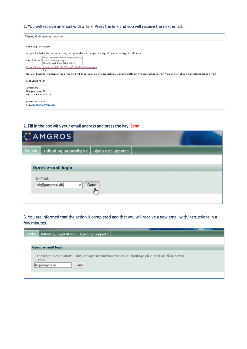## 1. You will receive an email with a link. Press the link and you will receive the next email.

| Adgang til Amgros' udbudssite                                                                                                                                                  |  |
|--------------------------------------------------------------------------------------------------------------------------------------------------------------------------------|--|
| Kære Birgit Rasmussen                                                                                                                                                          |  |
| Amgros har behandlet din anmodning om oprettelse som bruger på Amgros' Leverandør- og Udbudsportal.                                                                            |  |
| https://levportal.amgros.dk/public/sider/<br>Klik på linket fo create-email-login.aspx<br>Klik eller tryk for at følge linket.                                                 |  |
| https://levportal.amgros.dk/Public/Sider/Create-Email-Login.aspx                                                                                                               |  |
| NB: Du vil herefter modtage en ny e-mail med link til oprettelse af ny adgangskode. Du skal oprette din nye adgangskode senest 4 timer efter, at du har modtaget denne e-mail. |  |
| Med venlig hilsen                                                                                                                                                              |  |
| Amgros I/S                                                                                                                                                                     |  |
| Dampfærgevej 22                                                                                                                                                                |  |
| DK-2100 København Ø                                                                                                                                                            |  |
| phone: 8871 3000                                                                                                                                                               |  |
| E-mail: udbud@amgros.dk                                                                                                                                                        |  |
|                                                                                                                                                                                |  |

## 2. Fill in the box with your email address and press the key 'Send'

|         | AMGROS                |                              |  |
|---------|-----------------------|------------------------------|--|
| Forside | Udbud og Bagatelkøb ~ | Hjælp og Support v           |  |
|         |                       |                              |  |
|         | Opret e-mail login    |                              |  |
|         | E-Mail:               |                              |  |
|         | bir@amgros.dk<br>×    | Send<br>$\frac{1}{\sqrt{2}}$ |  |
|         |                       |                              |  |

3. You are informed that the action is completed and that you will receive a new email with instructions in a few minutes.

|                                                                                                                                       | Forside   Udbud og Bagatelkøb ▼ | Hjælp og Support ▼ |  |  |  |
|---------------------------------------------------------------------------------------------------------------------------------------|---------------------------------|--------------------|--|--|--|
|                                                                                                                                       |                                 |                    |  |  |  |
|                                                                                                                                       | Opret e-mail login              |                    |  |  |  |
| Handlingen blev fuldført - følg venligst instruktionerne du vil modtage på e-mail om få minutter.<br>E-Mail:<br>Send<br>bir@amgros.dk |                                 |                    |  |  |  |